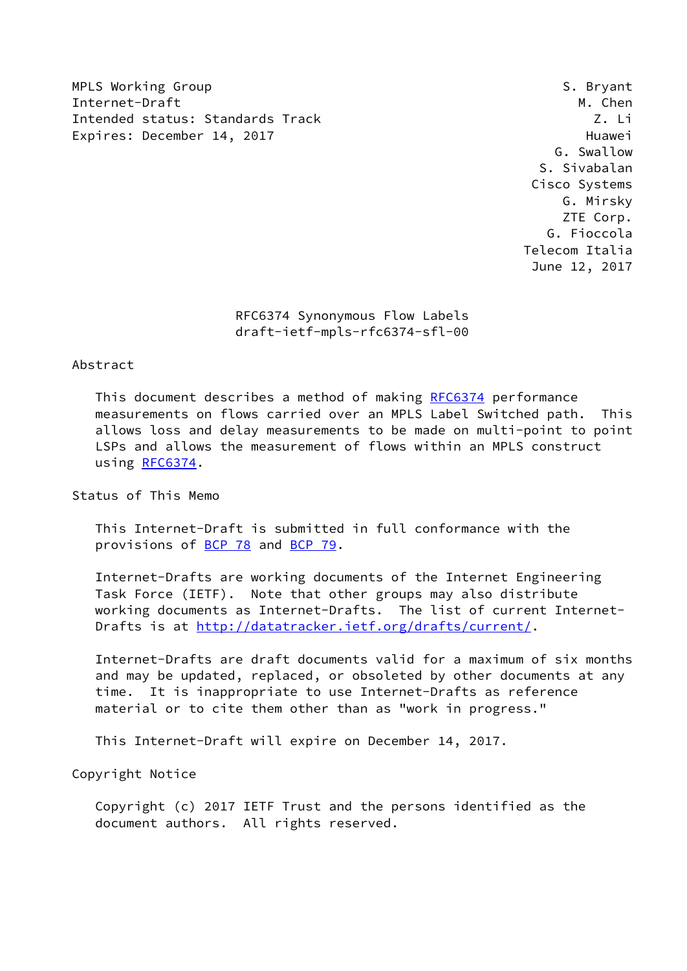MPLS Working Group **S. Bryant** S. Bryant Internet-Draft M. Chen Intended status: Standards Track Z. Li Expires: December 14, 2017 and the contract of the Huawei

 G. Swallow S. Sivabalan Cisco Systems G. Mirsky ZTE Corp. G. Fioccola Telecom Italia June 12, 2017

 RFC6374 Synonymous Flow Labels draft-ietf-mpls-rfc6374-sfl-00

### Abstract

 This document describes a method of making [RFC6374](https://datatracker.ietf.org/doc/pdf/rfc6374) performance measurements on flows carried over an MPLS Label Switched path. This allows loss and delay measurements to be made on multi-point to point LSPs and allows the measurement of flows within an MPLS construct using [RFC6374](https://datatracker.ietf.org/doc/pdf/rfc6374).

Status of This Memo

 This Internet-Draft is submitted in full conformance with the provisions of [BCP 78](https://datatracker.ietf.org/doc/pdf/bcp78) and [BCP 79](https://datatracker.ietf.org/doc/pdf/bcp79).

 Internet-Drafts are working documents of the Internet Engineering Task Force (IETF). Note that other groups may also distribute working documents as Internet-Drafts. The list of current Internet Drafts is at<http://datatracker.ietf.org/drafts/current/>.

 Internet-Drafts are draft documents valid for a maximum of six months and may be updated, replaced, or obsoleted by other documents at any time. It is inappropriate to use Internet-Drafts as reference material or to cite them other than as "work in progress."

This Internet-Draft will expire on December 14, 2017.

Copyright Notice

 Copyright (c) 2017 IETF Trust and the persons identified as the document authors. All rights reserved.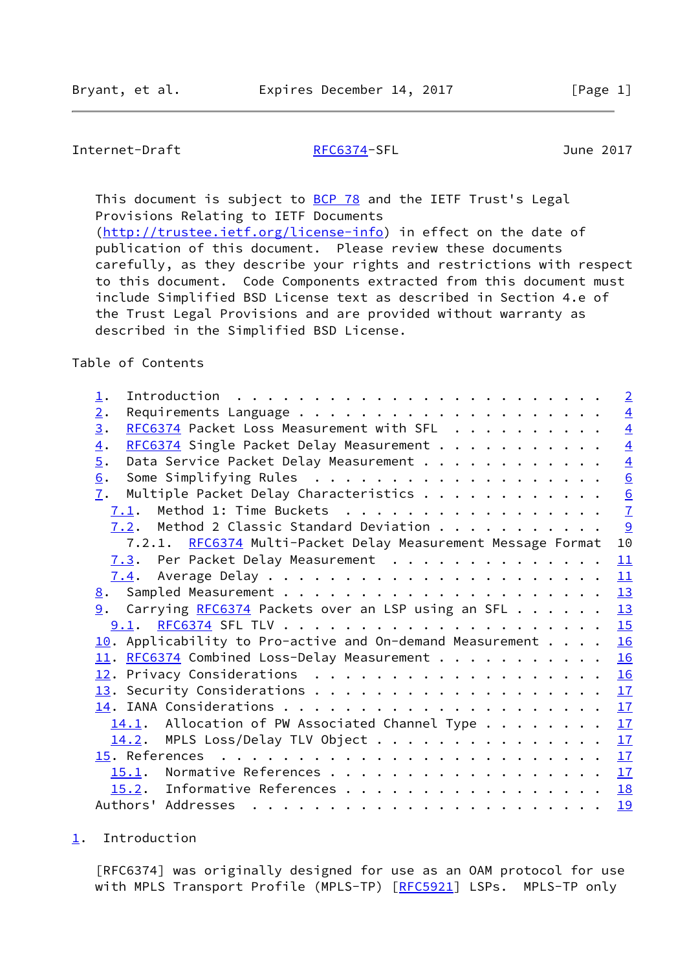# <span id="page-1-1"></span>Internet-Draft [RFC6374-](https://datatracker.ietf.org/doc/pdf/rfc6374)SFL June 2017

This document is subject to **[BCP 78](https://datatracker.ietf.org/doc/pdf/bcp78)** and the IETF Trust's Legal Provisions Relating to IETF Documents [\(http://trustee.ietf.org/license-info](http://trustee.ietf.org/license-info)) in effect on the date of publication of this document. Please review these documents carefully, as they describe your rights and restrictions with respect

 to this document. Code Components extracted from this document must include Simplified BSD License text as described in Section 4.e of the Trust Legal Provisions and are provided without warranty as described in the Simplified BSD License.

## Table of Contents

| 1.                                                                       | $\overline{2}$ |
|--------------------------------------------------------------------------|----------------|
| 2.                                                                       | $\overline{4}$ |
| RFC6374 Packet Loss Measurement with SFL<br>3.                           | $\overline{4}$ |
| RFC6374 Single Packet Delay Measurement<br>$\overline{4}$ .              | $\overline{4}$ |
| 5.<br>Data Service Packet Delay Measurement                              | $\overline{4}$ |
| 6.                                                                       | 6              |
| Multiple Packet Delay Characteristics<br>7.                              |                |
| $7.1$ . Method 1: Time Buckets                                           | $\frac{6}{7}$  |
| 7.2. Method 2 Classic Standard Deviation                                 | 9              |
| 7.2.1. RFC6374 Multi-Packet Delay Measurement Message Format             | 10             |
| 7.3. Per Packet Delay Measurement                                        | 11             |
|                                                                          | 11             |
|                                                                          | 13             |
| 9. Carrying RFC6374 Packets over an LSP using an SFL                     | 13             |
|                                                                          | 15             |
| $\underline{10}$ . Applicability to Pro-active and On-demand Measurement | 16             |
| 11. RFC6374 Combined Loss-Delay Measurement                              | 16             |
|                                                                          | 16             |
|                                                                          | 17             |
|                                                                          | 17             |
| $14.1$ . Allocation of PW Associated Channel Type                        | 17             |
| $14.2$ . MPLS Loss/Delay TLV Object                                      | 17             |
|                                                                          |                |
| 15.1. Normative References                                               | 17             |
| 15.2. Informative References                                             | 18             |
|                                                                          | 19             |

<span id="page-1-0"></span>[1](#page-1-0). Introduction

 [RFC6374] was originally designed for use as an OAM protocol for use with MPLS Transport Profile (MPLS-TP) [[RFC5921](https://datatracker.ietf.org/doc/pdf/rfc5921)] LSPs. MPLS-TP only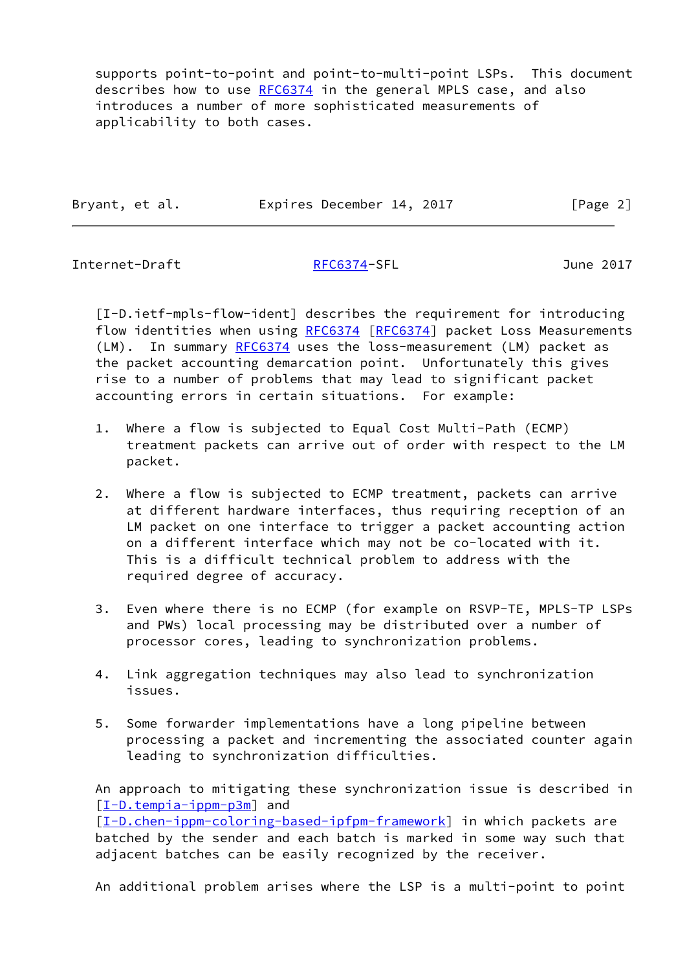supports point-to-point and point-to-multi-point LSPs. This document describes how to use [RFC6374](https://datatracker.ietf.org/doc/pdf/rfc6374) in the general MPLS case, and also introduces a number of more sophisticated measurements of applicability to both cases.

|  | Bryant, et al. | Expires December 14, 2017 |  | [Page 2] |
|--|----------------|---------------------------|--|----------|
|--|----------------|---------------------------|--|----------|

Internet-Draft [RFC6374-](https://datatracker.ietf.org/doc/pdf/rfc6374)SFL June 2017

<span id="page-2-0"></span> [I-D.ietf-mpls-flow-ident] describes the requirement for introducing flow identities when using [RFC6374](https://datatracker.ietf.org/doc/pdf/rfc6374) [[RFC6374\]](https://datatracker.ietf.org/doc/pdf/rfc6374) packet Loss Measurements (LM). In summary [RFC6374](https://datatracker.ietf.org/doc/pdf/rfc6374) uses the loss-measurement (LM) packet as the packet accounting demarcation point. Unfortunately this gives rise to a number of problems that may lead to significant packet accounting errors in certain situations. For example:

- 1. Where a flow is subjected to Equal Cost Multi-Path (ECMP) treatment packets can arrive out of order with respect to the LM packet.
- 2. Where a flow is subjected to ECMP treatment, packets can arrive at different hardware interfaces, thus requiring reception of an LM packet on one interface to trigger a packet accounting action on a different interface which may not be co-located with it. This is a difficult technical problem to address with the required degree of accuracy.
- 3. Even where there is no ECMP (for example on RSVP-TE, MPLS-TP LSPs and PWs) local processing may be distributed over a number of processor cores, leading to synchronization problems.
- 4. Link aggregation techniques may also lead to synchronization issues.
- 5. Some forwarder implementations have a long pipeline between processing a packet and incrementing the associated counter again leading to synchronization difficulties.

 An approach to mitigating these synchronization issue is described in [\[I-D.tempia-ippm-p3m](#page-20-1)] and [\[I-D.chen-ippm-coloring-based-ipfpm-framework](#page-20-2)] in which packets are batched by the sender and each batch is marked in some way such that adjacent batches can be easily recognized by the receiver.

An additional problem arises where the LSP is a multi-point to point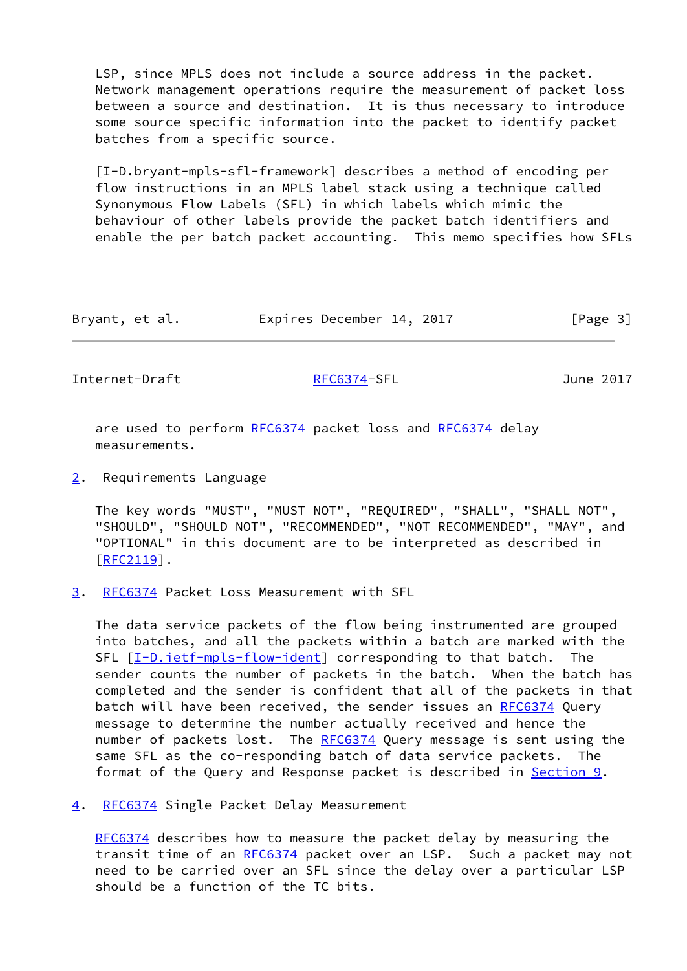LSP, since MPLS does not include a source address in the packet. Network management operations require the measurement of packet loss between a source and destination. It is thus necessary to introduce some source specific information into the packet to identify packet batches from a specific source.

 [I-D.bryant-mpls-sfl-framework] describes a method of encoding per flow instructions in an MPLS label stack using a technique called Synonymous Flow Labels (SFL) in which labels which mimic the behaviour of other labels provide the packet batch identifiers and enable the per batch packet accounting. This memo specifies how SFLs

| Bryant, et al. | Expires December 14, 2017 | [Page 3] |
|----------------|---------------------------|----------|
|----------------|---------------------------|----------|

<span id="page-3-1"></span>Internet-Draft [RFC6374-](https://datatracker.ietf.org/doc/pdf/rfc6374)SFL June 2017

are used to perform [RFC6374](https://datatracker.ietf.org/doc/pdf/rfc6374) packet loss and RFC6374 delay measurements.

<span id="page-3-0"></span>[2](#page-3-0). Requirements Language

 The key words "MUST", "MUST NOT", "REQUIRED", "SHALL", "SHALL NOT", "SHOULD", "SHOULD NOT", "RECOMMENDED", "NOT RECOMMENDED", "MAY", and "OPTIONAL" in this document are to be interpreted as described in [\[RFC2119](https://datatracker.ietf.org/doc/pdf/rfc2119)].

<span id="page-3-2"></span>[3](#page-3-2). [RFC6374](https://datatracker.ietf.org/doc/pdf/rfc6374) Packet Loss Measurement with SFL

 The data service packets of the flow being instrumented are grouped into batches, and all the packets within a batch are marked with the SFL [\[I-D.ietf-mpls-flow-ident](#page-2-0)] corresponding to that batch. The sender counts the number of packets in the batch. When the batch has completed and the sender is confident that all of the packets in that batch will have been received, the sender issues an [RFC6374](https://datatracker.ietf.org/doc/pdf/rfc6374) Query message to determine the number actually received and hence the number of packets lost. The [RFC6374](https://datatracker.ietf.org/doc/pdf/rfc6374) Query message is sent using the same SFL as the co-responding batch of data service packets. The format of the Query and Response packet is described in <u>Section 9</u>.

<span id="page-3-3"></span>[4](#page-3-3). [RFC6374](https://datatracker.ietf.org/doc/pdf/rfc6374) Single Packet Delay Measurement

 [RFC6374](https://datatracker.ietf.org/doc/pdf/rfc6374) describes how to measure the packet delay by measuring the transit time of an [RFC6374](https://datatracker.ietf.org/doc/pdf/rfc6374) packet over an LSP. Such a packet may not need to be carried over an SFL since the delay over a particular LSP should be a function of the TC bits.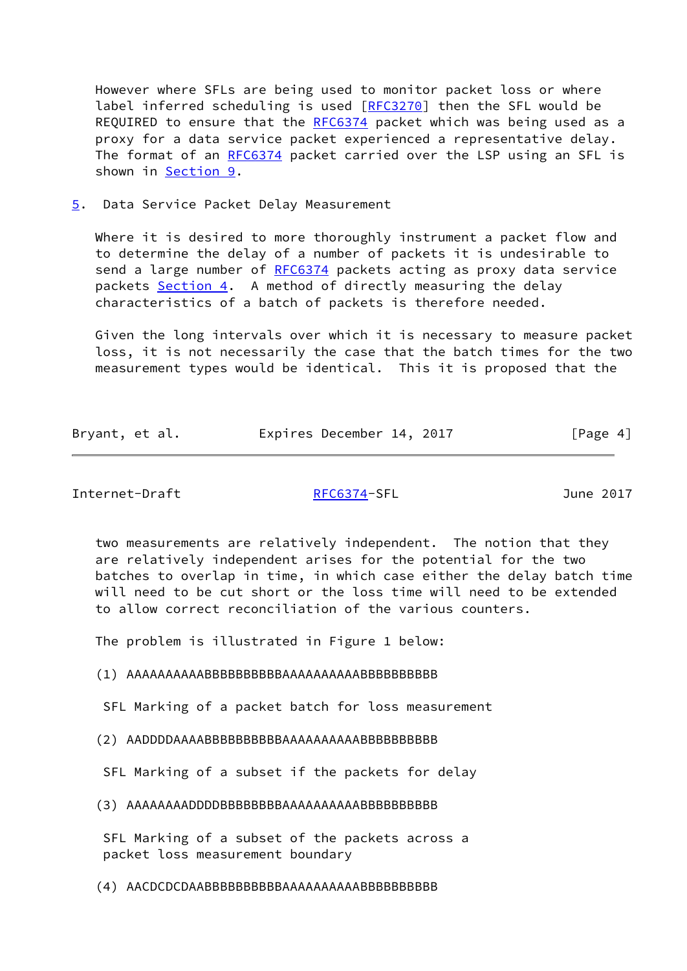However where SFLs are being used to monitor packet loss or where label inferred scheduling is used [[RFC3270](https://datatracker.ietf.org/doc/pdf/rfc3270)] then the SFL would be REQUIRED to ensure that the [RFC6374](https://datatracker.ietf.org/doc/pdf/rfc6374) packet which was being used as a proxy for a data service packet experienced a representative delay. The format of an [RFC6374](https://datatracker.ietf.org/doc/pdf/rfc6374) packet carried over the LSP using an SFL is shown in [Section 9](#page-13-2).

<span id="page-4-0"></span>[5](#page-4-0). Data Service Packet Delay Measurement

Where it is desired to more thoroughly instrument a packet flow and to determine the delay of a number of packets it is undesirable to send a large number of [RFC6374](https://datatracker.ietf.org/doc/pdf/rfc6374) packets acting as proxy data service packets [Section 4](#page-3-3). A method of directly measuring the delay characteristics of a batch of packets is therefore needed.

 Given the long intervals over which it is necessary to measure packet loss, it is not necessarily the case that the batch times for the two measurement types would be identical. This it is proposed that the

| Bryant, et al. | Expires December 14, 2017 |  | [Page 4] |
|----------------|---------------------------|--|----------|
|                |                           |  |          |

Internet-Draft [RFC6374-](https://datatracker.ietf.org/doc/pdf/rfc6374)SFL June 2017

 two measurements are relatively independent. The notion that they are relatively independent arises for the potential for the two batches to overlap in time, in which case either the delay batch time will need to be cut short or the loss time will need to be extended to allow correct reconciliation of the various counters.

The problem is illustrated in Figure 1 below:

(1) AAAAAAAAAABBBBBBBBBBAAAAAAAAAABBBBBBBBBB

SFL Marking of a packet batch for loss measurement

(2) AADDDDAAAABBBBBBBBBBAAAAAAAAAABBBBBBBBBB

SFL Marking of a subset if the packets for delay

(3) AAAAAAAADDDDBBBBBBBBAAAAAAAAAABBBBBBBBBB

 SFL Marking of a subset of the packets across a packet loss measurement boundary

(4) AACDCDCDAABBBBBBBBBBAAAAAAAAAABBBBBBBBBB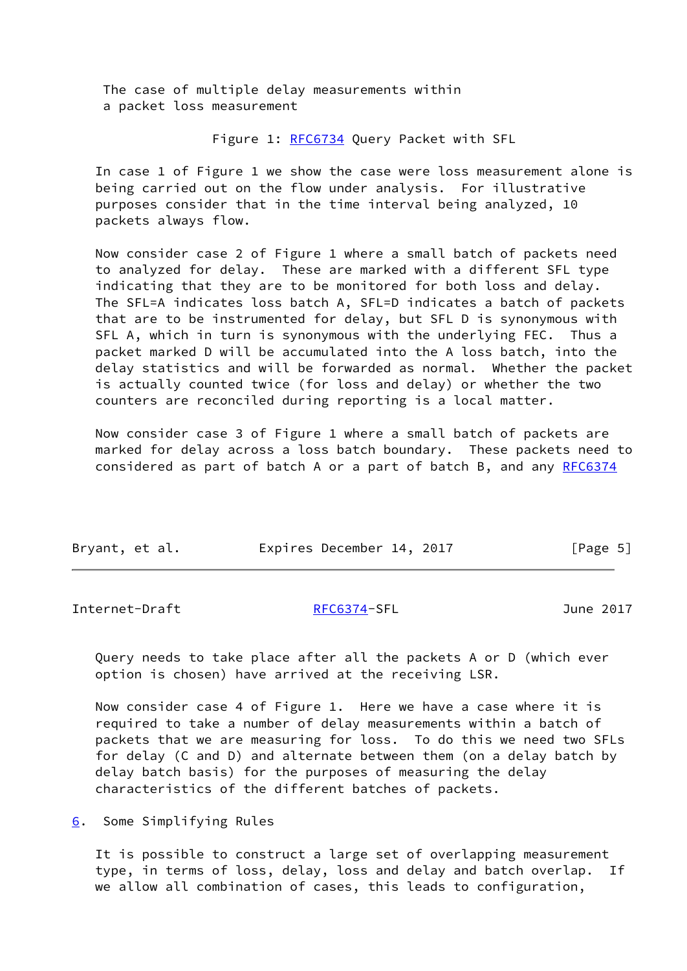The case of multiple delay measurements within a packet loss measurement

Figure 1: [RFC6734](https://datatracker.ietf.org/doc/pdf/rfc6734) Query Packet with SFL

 In case 1 of Figure 1 we show the case were loss measurement alone is being carried out on the flow under analysis. For illustrative purposes consider that in the time interval being analyzed, 10 packets always flow.

 Now consider case 2 of Figure 1 where a small batch of packets need to analyzed for delay. These are marked with a different SFL type indicating that they are to be monitored for both loss and delay. The SFL=A indicates loss batch A, SFL=D indicates a batch of packets that are to be instrumented for delay, but SFL D is synonymous with SFL A, which in turn is synonymous with the underlying FEC. Thus a packet marked D will be accumulated into the A loss batch, into the delay statistics and will be forwarded as normal. Whether the packet is actually counted twice (for loss and delay) or whether the two counters are reconciled during reporting is a local matter.

 Now consider case 3 of Figure 1 where a small batch of packets are marked for delay across a loss batch boundary. These packets need to considered as part of batch A or a part of batch B, and any [RFC6374](https://datatracker.ietf.org/doc/pdf/rfc6374)

| Bryant, et al. | Expires December 14, 2017 | [Page 5] |
|----------------|---------------------------|----------|
|                |                           |          |

<span id="page-5-1"></span>Internet-Draft [RFC6374-](https://datatracker.ietf.org/doc/pdf/rfc6374)SFL June 2017

 Query needs to take place after all the packets A or D (which ever option is chosen) have arrived at the receiving LSR.

 Now consider case 4 of Figure 1. Here we have a case where it is required to take a number of delay measurements within a batch of packets that we are measuring for loss. To do this we need two SFLs for delay (C and D) and alternate between them (on a delay batch by delay batch basis) for the purposes of measuring the delay characteristics of the different batches of packets.

<span id="page-5-0"></span>[6](#page-5-0). Some Simplifying Rules

 It is possible to construct a large set of overlapping measurement type, in terms of loss, delay, loss and delay and batch overlap. If we allow all combination of cases, this leads to configuration,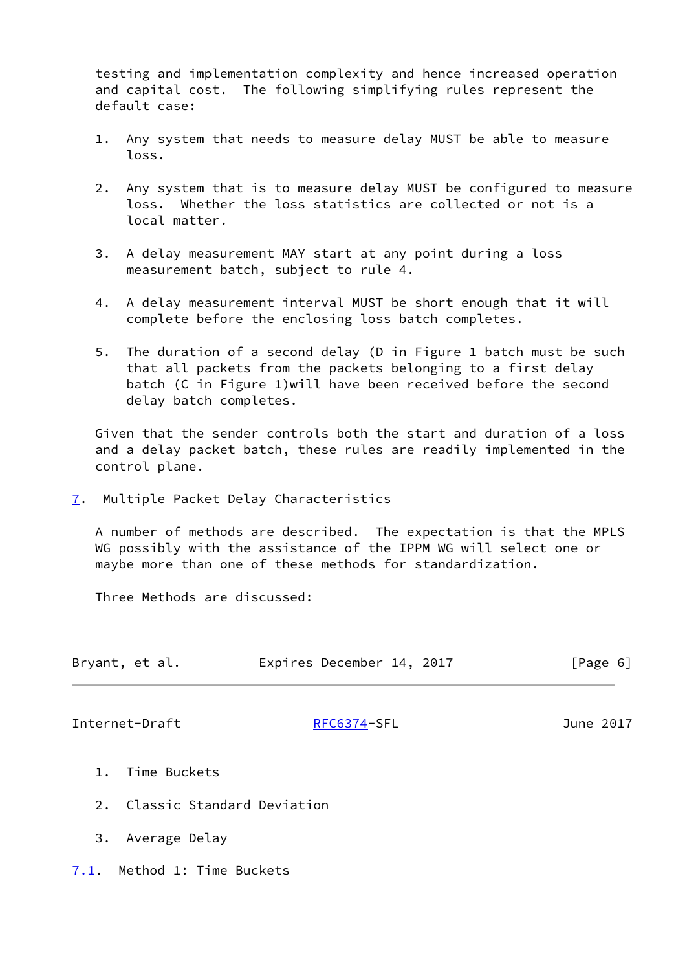testing and implementation complexity and hence increased operation and capital cost. The following simplifying rules represent the default case:

- 1. Any system that needs to measure delay MUST be able to measure loss.
- 2. Any system that is to measure delay MUST be configured to measure loss. Whether the loss statistics are collected or not is a local matter.
- 3. A delay measurement MAY start at any point during a loss measurement batch, subject to rule 4.
- 4. A delay measurement interval MUST be short enough that it will complete before the enclosing loss batch completes.
- 5. The duration of a second delay (D in Figure 1 batch must be such that all packets from the packets belonging to a first delay batch (C in Figure 1)will have been received before the second delay batch completes.

 Given that the sender controls both the start and duration of a loss and a delay packet batch, these rules are readily implemented in the control plane.

<span id="page-6-0"></span>[7](#page-6-0). Multiple Packet Delay Characteristics

 A number of methods are described. The expectation is that the MPLS WG possibly with the assistance of the IPPM WG will select one or maybe more than one of these methods for standardization.

Three Methods are discussed:

| Bryant, et al. | Expires December 14, 2017 | [Page 6] |
|----------------|---------------------------|----------|
|                |                           |          |

<span id="page-6-2"></span>Internet-Draft [RFC6374-](https://datatracker.ietf.org/doc/pdf/rfc6374)SFL June 2017

- 1. Time Buckets
- 2. Classic Standard Deviation
- 3. Average Delay
- <span id="page-6-1"></span>[7.1](#page-6-1). Method 1: Time Buckets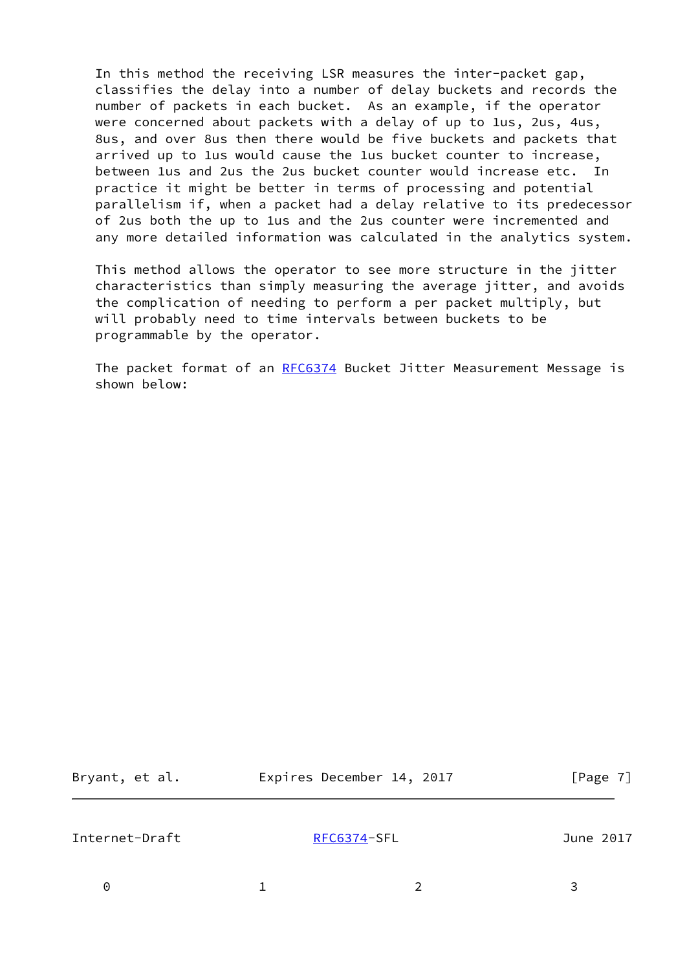In this method the receiving LSR measures the inter-packet gap, classifies the delay into a number of delay buckets and records the number of packets in each bucket. As an example, if the operator were concerned about packets with a delay of up to 1us, 2us, 4us, 8us, and over 8us then there would be five buckets and packets that arrived up to 1us would cause the 1us bucket counter to increase, between 1us and 2us the 2us bucket counter would increase etc. In practice it might be better in terms of processing and potential parallelism if, when a packet had a delay relative to its predecessor of 2us both the up to 1us and the 2us counter were incremented and any more detailed information was calculated in the analytics system.

 This method allows the operator to see more structure in the jitter characteristics than simply measuring the average jitter, and avoids the complication of needing to perform a per packet multiply, but will probably need to time intervals between buckets to be programmable by the operator.

 The packet format of an [RFC6374](https://datatracker.ietf.org/doc/pdf/rfc6374) Bucket Jitter Measurement Message is shown below:

| et al.<br>Bryant, |  |  |
|-------------------|--|--|
|-------------------|--|--|

Expires December 14, 2017 [Page 7]

Internet-Draft [RFC6374-](https://datatracker.ietf.org/doc/pdf/rfc6374)SFL June 2017

0 1 2 3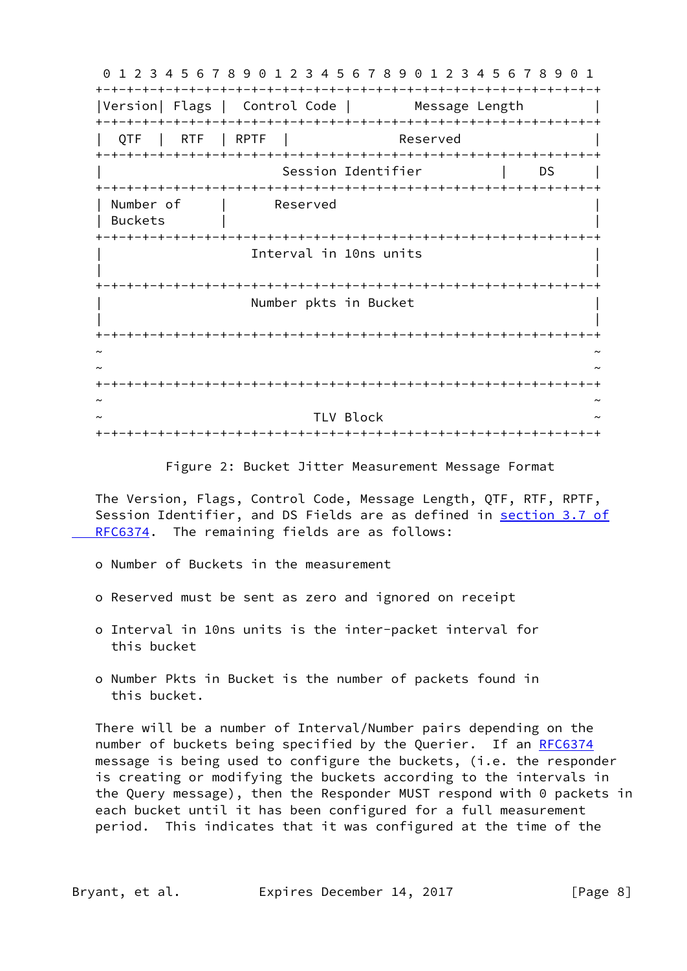0 1 2 3 4 5 6 7 8 9 0 1 2 3 4 5 6 7 8 9 0 1 2 3 4 5 6 7 8 9 0 1 +-+-+-+-+-+-+-+-+-+-+-+-+-+-+-+-+-+-+-+-+-+-+-+-+-+-+-+-+-+-+-+-+ |Version| Flags | Control Code | Message Length +-+-+-+-+-+-+-+-+-+-+-+-+-+-+-+-+-+-+-+-+-+-+-+-+-+-+-+-+-+-+-+-+ QTF | RTF | RPTF | Reserved +-+-+-+-+-+-+-+-+-+-+-+-+-+-+-+-+-+-+-+-+-+-+-+-+-+-+-+-+-+-+-+-+ Session Identifier | DS +-+-+-+-+-+-+-+-+-+-+-+-+-+-+-+-+-+-+-+-+-+-+-+-+-+-+-+-+-+-+-+-+ | Number of | Reserved | Buckets | | +-+-+-+-+-+-+-+-+-+-+-+-+-+-+-+-+-+-+-+-+-+-+-+-+-+-+-+-+-+-+-+-+ Interval in 10ns units | | +-+-+-+-+-+-+-+-+-+-+-+-+-+-+-+-+-+-+-+-+-+-+-+-+-+-+-+-+-+-+-+-+ Number pkts in Bucket | | +-+-+-+-+-+-+-+-+-+-+-+-+-+-+-+-+-+-+-+-+-+-+-+-+-+-+-+-+-+-+-+-+ ~ ~ ~ ~ +-+-+-+-+-+-+-+-+-+-+-+-+-+-+-+-+-+-+-+-+-+-+-+-+-+-+-+-+-+-+-+-+ ~ ~ TLV Block +-+-+-+-+-+-+-+-+-+-+-+-+-+-+-+-+-+-+-+-+-+-+-+-+-+-+-+-+-+-+-+-+

Figure 2: Bucket Jitter Measurement Message Format

 The Version, Flags, Control Code, Message Length, QTF, RTF, RPTF, Session Identifier, and DS Fields are as defined in [section](https://datatracker.ietf.org/doc/pdf/rfc6374#section-3.7) 3.7 of RFC6374. The remaining fields are as follows:

- o Number of Buckets in the measurement
- o Reserved must be sent as zero and ignored on receipt
- o Interval in 10ns units is the inter-packet interval for this bucket
- o Number Pkts in Bucket is the number of packets found in this bucket.

 There will be a number of Interval/Number pairs depending on the number of buckets being specified by the Querier. If an [RFC6374](https://datatracker.ietf.org/doc/pdf/rfc6374) message is being used to configure the buckets, (i.e. the responder is creating or modifying the buckets according to the intervals in the Query message), then the Responder MUST respond with 0 packets in each bucket until it has been configured for a full measurement period. This indicates that it was configured at the time of the

Bryant, et al. Expires December 14, 2017 [Page 8]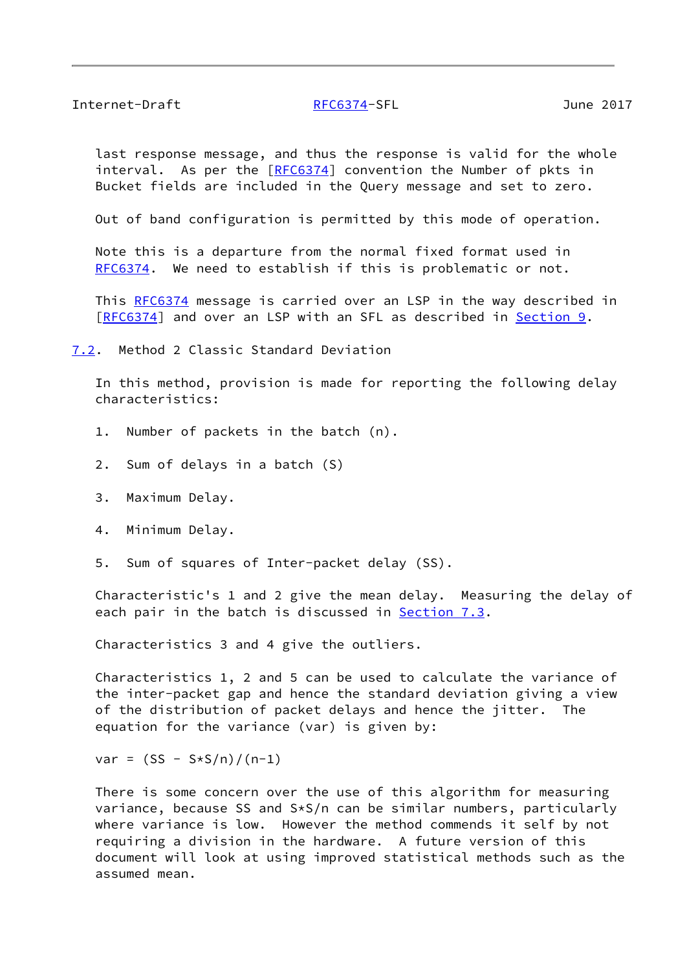### <span id="page-9-1"></span>Internet-Draft [RFC6374-](https://datatracker.ietf.org/doc/pdf/rfc6374)SFL June 2017

 last response message, and thus the response is valid for the whole interval. As per the [[RFC6374](https://datatracker.ietf.org/doc/pdf/rfc6374)] convention the Number of pkts in Bucket fields are included in the Query message and set to zero.

Out of band configuration is permitted by this mode of operation.

 Note this is a departure from the normal fixed format used in [RFC6374](https://datatracker.ietf.org/doc/pdf/rfc6374). We need to establish if this is problematic or not.

This [RFC6374](https://datatracker.ietf.org/doc/pdf/rfc6374) message is carried over an LSP in the way described in [\[RFC6374](https://datatracker.ietf.org/doc/pdf/rfc6374)] and over an LSP with an SFL as described in [Section 9.](#page-13-2)

<span id="page-9-0"></span>[7.2](#page-9-0). Method 2 Classic Standard Deviation

 In this method, provision is made for reporting the following delay characteristics:

- 1. Number of packets in the batch (n).
- 2. Sum of delays in a batch (S)
- 3. Maximum Delay.
- 4. Minimum Delay.
- 5. Sum of squares of Inter-packet delay (SS).

 Characteristic's 1 and 2 give the mean delay. Measuring the delay of each pair in the batch is discussed in **[Section 7.3](#page-11-0).** 

Characteristics 3 and 4 give the outliers.

 Characteristics 1, 2 and 5 can be used to calculate the variance of the inter-packet gap and hence the standard deviation giving a view of the distribution of packet delays and hence the jitter. The equation for the variance (var) is given by:

 $var = (SS - S*S/n)/(n-1)$ 

 There is some concern over the use of this algorithm for measuring variance, because SS and S\*S/n can be similar numbers, particularly where variance is low. However the method commends it self by not requiring a division in the hardware. A future version of this document will look at using improved statistical methods such as the assumed mean.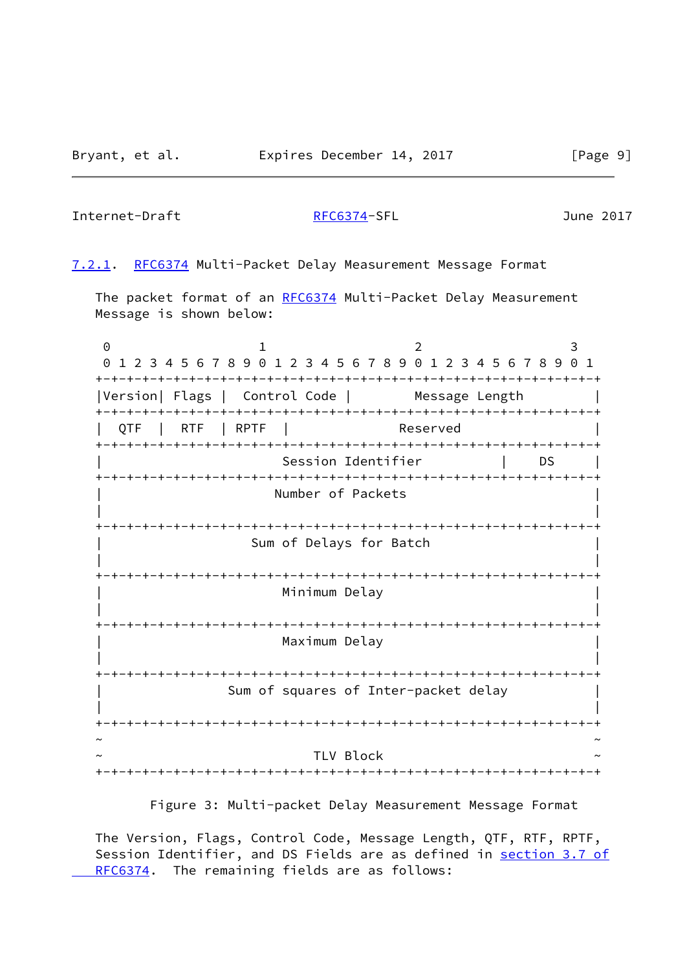### Internet-Draft [RFC6374-](https://datatracker.ietf.org/doc/pdf/rfc6374)SFL June 2017

<span id="page-10-0"></span>[7.2.1](#page-10-0). [RFC6374](https://datatracker.ietf.org/doc/pdf/rfc6374) Multi-Packet Delay Measurement Message Format

The packet format of an [RFC6374](https://datatracker.ietf.org/doc/pdf/rfc6374) Multi-Packet Delay Measurement Message is shown below:

0 1 2 3 0 1 2 3 4 5 6 7 8 9 0 1 2 3 4 5 6 7 8 9 0 1 2 3 4 5 6 7 8 9 0 1 +-+-+-+-+-+-+-+-+-+-+-+-+-+-+-+-+-+-+-+-+-+-+-+-+-+-+-+-+-+-+-+-+ |Version| Flags | Control Code | Message Length +-+-+-+-+-+-+-+-+-+-+-+-+-+-+-+-+-+-+-+-+-+-+-+-+-+-+-+-+-+-+-+-+ QTF | RTF | RPTF | Reserved +-+-+-+-+-+-+-+-+-+-+-+-+-+-+-+-+-+-+-+-+-+-+-+-+-+-+-+-+-+-+-+-+ Session Identifier | DS | +-+-+-+-+-+-+-+-+-+-+-+-+-+-+-+-+-+-+-+-+-+-+-+-+-+-+-+-+-+-+-+-+ Number of Packets | | +-+-+-+-+-+-+-+-+-+-+-+-+-+-+-+-+-+-+-+-+-+-+-+-+-+-+-+-+-+-+-+-+ Sum of Delays for Batch | | +-+-+-+-+-+-+-+-+-+-+-+-+-+-+-+-+-+-+-+-+-+-+-+-+-+-+-+-+-+-+-+-+ Minimum Delay | | +-+-+-+-+-+-+-+-+-+-+-+-+-+-+-+-+-+-+-+-+-+-+-+-+-+-+-+-+-+-+-+-+ Maximum Delay | | +-+-+-+-+-+-+-+-+-+-+-+-+-+-+-+-+-+-+-+-+-+-+-+-+-+-+-+-+-+-+-+-+ Sum of squares of Inter-packet delay | | +-+-+-+-+-+-+-+-+-+-+-+-+-+-+-+-+-+-+-+-+-+-+-+-+-+-+-+-+-+-+-+-+ ~ ~ TLV Block +-+-+-+-+-+-+-+-+-+-+-+-+-+-+-+-+-+-+-+-+-+-+-+-+-+-+-+-+-+-+-+-+

Figure 3: Multi-packet Delay Measurement Message Format

 The Version, Flags, Control Code, Message Length, QTF, RTF, RPTF, Session Identifier, and DS Fields are as defined in [section](https://datatracker.ietf.org/doc/pdf/rfc6374#section-3.7) 3.7 of  [RFC6374.](https://datatracker.ietf.org/doc/pdf/rfc6374#section-3.7) The remaining fields are as follows: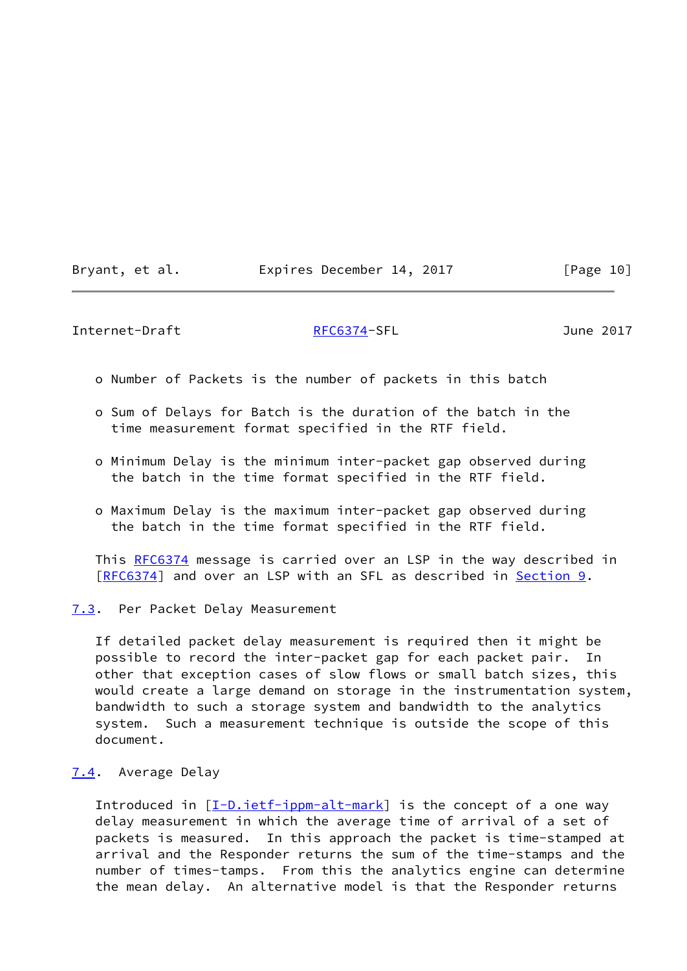| Bryant, et al. | Expires December 14, 2017 | [Page 10] |
|----------------|---------------------------|-----------|
|----------------|---------------------------|-----------|

<span id="page-11-1"></span>Internet-Draft [RFC6374-](https://datatracker.ietf.org/doc/pdf/rfc6374)SFL June 2017

- o Number of Packets is the number of packets in this batch
- o Sum of Delays for Batch is the duration of the batch in the time measurement format specified in the RTF field.
- o Minimum Delay is the minimum inter-packet gap observed during the batch in the time format specified in the RTF field.
- o Maximum Delay is the maximum inter-packet gap observed during the batch in the time format specified in the RTF field.

This [RFC6374](https://datatracker.ietf.org/doc/pdf/rfc6374) message is carried over an LSP in the way described in [\[RFC6374](https://datatracker.ietf.org/doc/pdf/rfc6374)] and over an LSP with an SFL as described in <u>Section 9</u>.

<span id="page-11-0"></span>[7.3](#page-11-0). Per Packet Delay Measurement

 If detailed packet delay measurement is required then it might be possible to record the inter-packet gap for each packet pair. In other that exception cases of slow flows or small batch sizes, this would create a large demand on storage in the instrumentation system, bandwidth to such a storage system and bandwidth to the analytics system. Such a measurement technique is outside the scope of this document.

<span id="page-11-2"></span>[7.4](#page-11-2). Average Delay

 Introduced in [[I-D.ietf-ippm-alt-mark](#page-20-3)] is the concept of a one way delay measurement in which the average time of arrival of a set of packets is measured. In this approach the packet is time-stamped at arrival and the Responder returns the sum of the time-stamps and the number of times-tamps. From this the analytics engine can determine the mean delay. An alternative model is that the Responder returns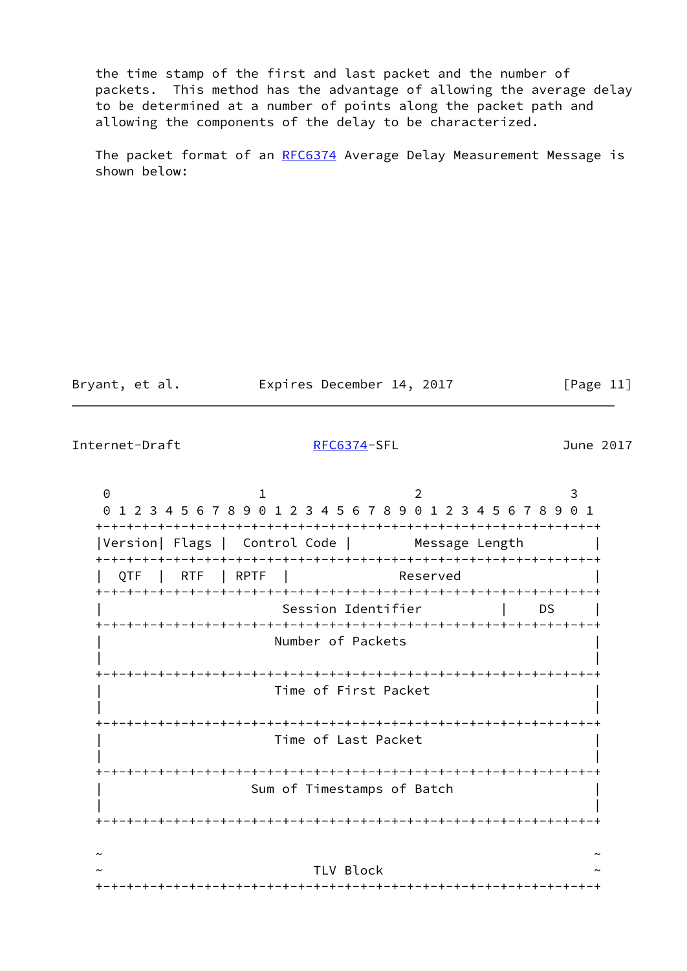the time stamp of the first and last packet and the number of packets. This method has the advantage of allowing the average delay to be determined at a number of points along the packet path and allowing the components of the delay to be characterized.

The packet format of an [RFC6374](https://datatracker.ietf.org/doc/pdf/rfc6374) Average Delay Measurement Message is shown below:

| Bryant, et al. | Expires December 14, 2017 | [Page 11] |
|----------------|---------------------------|-----------|
|                |                           |           |

Internet-Draft [RFC6374-](https://datatracker.ietf.org/doc/pdf/rfc6374)SFL June 2017

0 1 2 3 0 1 2 3 4 5 6 7 8 9 0 1 2 3 4 5 6 7 8 9 0 1 2 3 4 5 6 7 8 9 0 1 +-+-+-+-+-+-+-+-+-+-+-+-+-+-+-+-+-+-+-+-+-+-+-+-+-+-+-+-+-+-+-+-+ |Version| Flags | Control Code | Message Length | +-+-+-+-+-+-+-+-+-+-+-+-+-+-+-+-+-+-+-+-+-+-+-+-+-+-+-+-+-+-+-+-+ QTF | RTF | RPTF | Reserved +-+-+-+-+-+-+-+-+-+-+-+-+-+-+-+-+-+-+-+-+-+-+-+-+-+-+-+-+-+-+-+-+ Session Identifier | DS +-+-+-+-+-+-+-+-+-+-+-+-+-+-+-+-+-+-+-+-+-+-+-+-+-+-+-+-+-+-+-+-+ Number of Packets | | +-+-+-+-+-+-+-+-+-+-+-+-+-+-+-+-+-+-+-+-+-+-+-+-+-+-+-+-+-+-+-+-+ | Time of First Packet | | | +-+-+-+-+-+-+-+-+-+-+-+-+-+-+-+-+-+-+-+-+-+-+-+-+-+-+-+-+-+-+-+-+ | Time of Last Packet | | | +-+-+-+-+-+-+-+-+-+-+-+-+-+-+-+-+-+-+-+-+-+-+-+-+-+-+-+-+-+-+-+-+ Sum of Timestamps of Batch | | +-+-+-+-+-+-+-+-+-+-+-+-+-+-+-+-+-+-+-+-+-+-+-+-+-+-+-+-+-+-+-+-+ ~ ~ TLV Block +-+-+-+-+-+-+-+-+-+-+-+-+-+-+-+-+-+-+-+-+-+-+-+-+-+-+-+-+-+-+-+-+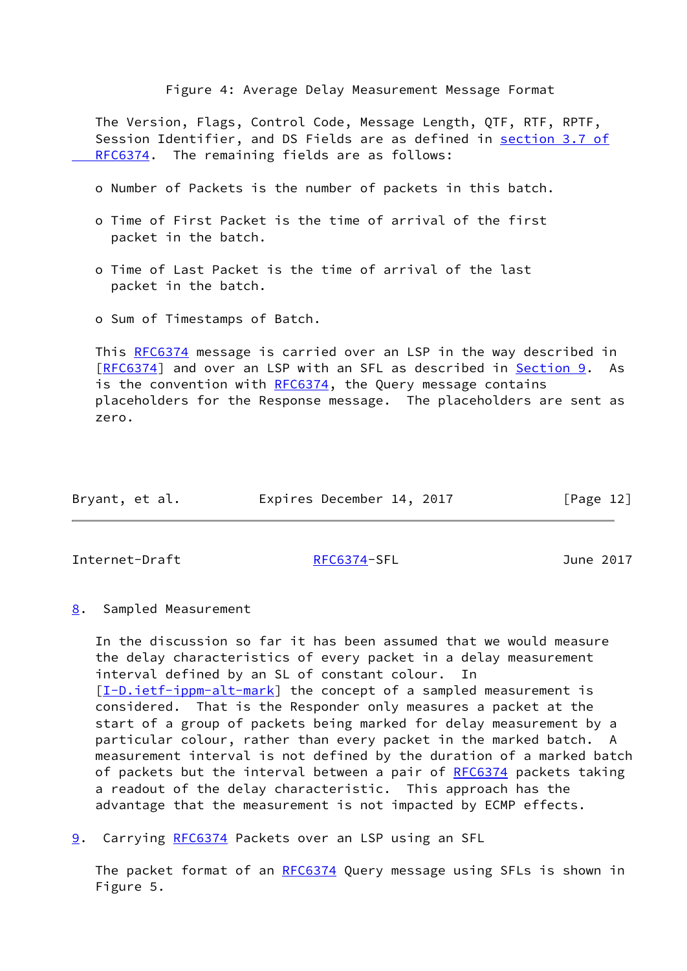Figure 4: Average Delay Measurement Message Format

 The Version, Flags, Control Code, Message Length, QTF, RTF, RPTF, Session Identifier, and DS Fields are as defined in [section](https://datatracker.ietf.org/doc/pdf/rfc6374#section-3.7) 3.7 of RFC6374. The remaining fields are as follows:

- o Number of Packets is the number of packets in this batch.
- o Time of First Packet is the time of arrival of the first packet in the batch.
- o Time of Last Packet is the time of arrival of the last packet in the batch.
- o Sum of Timestamps of Batch.

 This [RFC6374](https://datatracker.ietf.org/doc/pdf/rfc6374) message is carried over an LSP in the way described in [\[RFC6374](https://datatracker.ietf.org/doc/pdf/rfc6374)] and over an LSP with an SFL as described in [Section 9.](#page-13-2) As is the convention with  $RFC6374$ , the Query message contains placeholders for the Response message. The placeholders are sent as zero.

| Bryant, et al. | Expires December 14, 2017 | [Page 12] |
|----------------|---------------------------|-----------|
|----------------|---------------------------|-----------|

<span id="page-13-1"></span>Internet-Draft [RFC6374-](https://datatracker.ietf.org/doc/pdf/rfc6374)SFL June 2017

<span id="page-13-0"></span>[8](#page-13-0). Sampled Measurement

 In the discussion so far it has been assumed that we would measure the delay characteristics of every packet in a delay measurement interval defined by an SL of constant colour. In [\[I-D.ietf-ippm-alt-mark](#page-20-3)] the concept of a sampled measurement is considered. That is the Responder only measures a packet at the start of a group of packets being marked for delay measurement by a particular colour, rather than every packet in the marked batch. A measurement interval is not defined by the duration of a marked batch of packets but the interval between a pair of [RFC6374](https://datatracker.ietf.org/doc/pdf/rfc6374) packets taking a readout of the delay characteristic. This approach has the advantage that the measurement is not impacted by ECMP effects.

<span id="page-13-2"></span>[9](#page-13-2). Carrying [RFC6374](https://datatracker.ietf.org/doc/pdf/rfc6374) Packets over an LSP using an SFL

The packet format of an [RFC6374](https://datatracker.ietf.org/doc/pdf/rfc6374) Query message using SFLs is shown in Figure 5.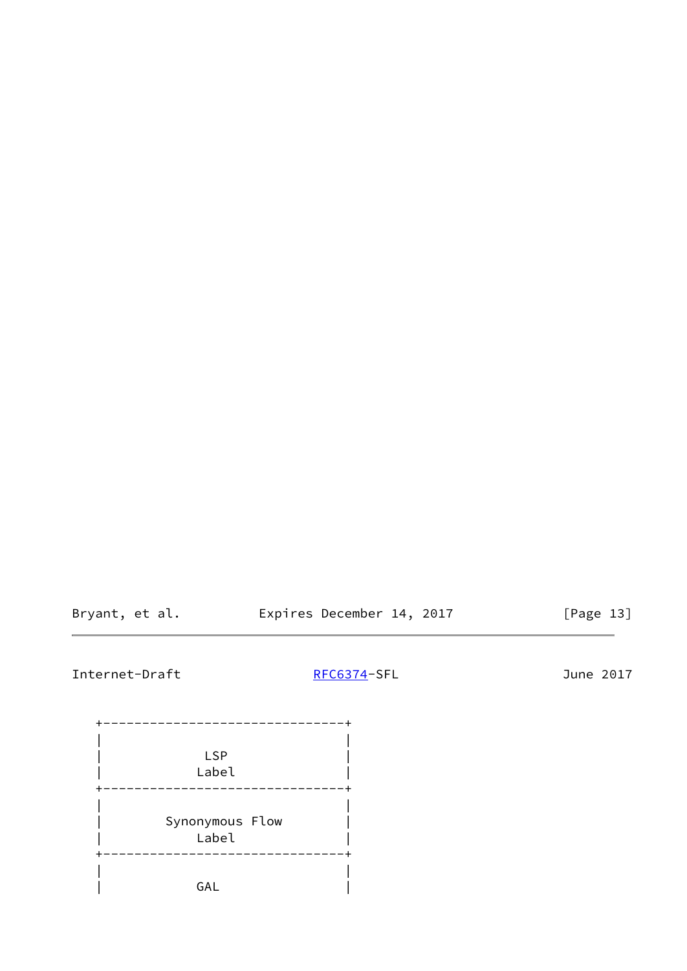Bryant, et al. **Expires December 14, 2017** [Page 13]

# Internet-Draft [RFC6374-](https://datatracker.ietf.org/doc/pdf/rfc6374)SFL June 2017

 +-------------------------------+ | | | LSP | | Label | +-------------------------------+ | | | Synonymous Flow | | Label | +-------------------------------+ | | | GAL |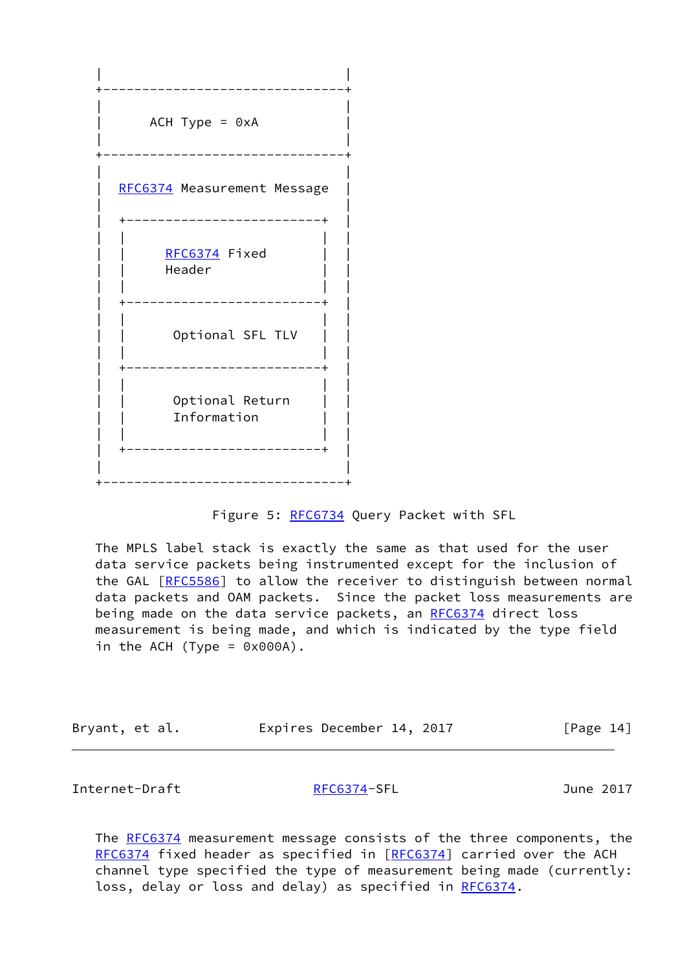

## Figure 5: [RFC6734](https://datatracker.ietf.org/doc/pdf/rfc6734) Query Packet with SFL

 The MPLS label stack is exactly the same as that used for the user data service packets being instrumented except for the inclusion of the GAL [\[RFC5586](https://datatracker.ietf.org/doc/pdf/rfc5586)] to allow the receiver to distinguish between normal data packets and OAM packets. Since the packet loss measurements are being made on the data service packets, an [RFC6374](https://datatracker.ietf.org/doc/pdf/rfc6374) direct loss measurement is being made, and which is indicated by the type field in the ACH (Type =  $0 \times 000$ A).

| Bryant, et al. |  | Expires December 14, 2017 |  | [Page 14] |  |
|----------------|--|---------------------------|--|-----------|--|
|----------------|--|---------------------------|--|-----------|--|

<span id="page-15-0"></span>Internet-Draft [RFC6374-](https://datatracker.ietf.org/doc/pdf/rfc6374)SFL June 2017

The [RFC6374](https://datatracker.ietf.org/doc/pdf/rfc6374) measurement message consists of the three components, the [RFC6374](https://datatracker.ietf.org/doc/pdf/rfc6374) fixed header as specified in [\[RFC6374](https://datatracker.ietf.org/doc/pdf/rfc6374)] carried over the ACH channel type specified the type of measurement being made (currently: loss, delay or loss and delay) as specified in [RFC6374](https://datatracker.ietf.org/doc/pdf/rfc6374).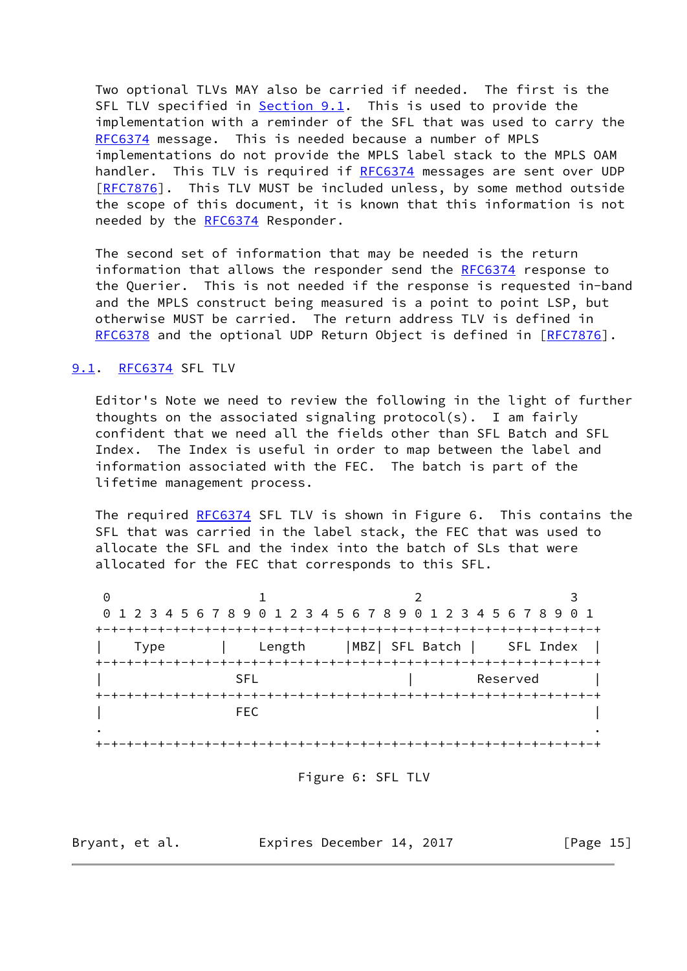Two optional TLVs MAY also be carried if needed. The first is the SFL TLV specified in [Section 9.1](#page-16-0). This is used to provide the implementation with a reminder of the SFL that was used to carry the [RFC6374](https://datatracker.ietf.org/doc/pdf/rfc6374) message. This is needed because a number of MPLS implementations do not provide the MPLS label stack to the MPLS OAM handler. This TLV is required if [RFC6374](https://datatracker.ietf.org/doc/pdf/rfc6374) messages are sent over UDP [\[RFC7876](https://datatracker.ietf.org/doc/pdf/rfc7876)]. This TLV MUST be included unless, by some method outside the scope of this document, it is known that this information is not needed by the [RFC6374](https://datatracker.ietf.org/doc/pdf/rfc6374) Responder.

 The second set of information that may be needed is the return information that allows the responder send the [RFC6374](https://datatracker.ietf.org/doc/pdf/rfc6374) response to the Querier. This is not needed if the response is requested in-band and the MPLS construct being measured is a point to point LSP, but otherwise MUST be carried. The return address TLV is defined in [RFC6378](https://datatracker.ietf.org/doc/pdf/rfc6378) and the optional UDP Return Object is defined in [\[RFC7876](https://datatracker.ietf.org/doc/pdf/rfc7876)].

## <span id="page-16-0"></span>[9.1](#page-16-0). [RFC6374](https://datatracker.ietf.org/doc/pdf/rfc6374) SFL TLV

 Editor's Note we need to review the following in the light of further thoughts on the associated signaling protocol(s). I am fairly confident that we need all the fields other than SFL Batch and SFL Index. The Index is useful in order to map between the label and information associated with the FEC. The batch is part of the lifetime management process.

The required [RFC6374](https://datatracker.ietf.org/doc/pdf/rfc6374) SFL TLV is shown in Figure 6. This contains the SFL that was carried in the label stack, the FEC that was used to allocate the SFL and the index into the batch of SLs that were allocated for the FEC that corresponds to this SFL.

0 1 2 3 0 1 2 3 4 5 6 7 8 9 0 1 2 3 4 5 6 7 8 9 0 1 2 3 4 5 6 7 8 9 0 1 +-+-+-+-+-+-+-+-+-+-+-+-+-+-+-+-+-+-+-+-+-+-+-+-+-+-+-+-+-+-+-+-+ | Type | Length |MBZ| SFL Batch | SFL Index | +-+-+-+-+-+-+-+-+-+-+-+-+-+-+-+-+-+-+-+-+-+-+-+-+-+-+-+-+-+-+-+-+ | Reserved | Reserved | +-+-+-+-+-+-+-+-+-+-+-+-+-+-+-+-+-+-+-+-+-+-+-+-+-+-+-+-+-+-+-+-+ | FEC | . . +-+-+-+-+-+-+-+-+-+-+-+-+-+-+-+-+-+-+-+-+-+-+-+-+-+-+-+-+-+-+-+-+

Figure 6: SFL TLV

Bryant, et al. **Expires December 14, 2017** [Page 15]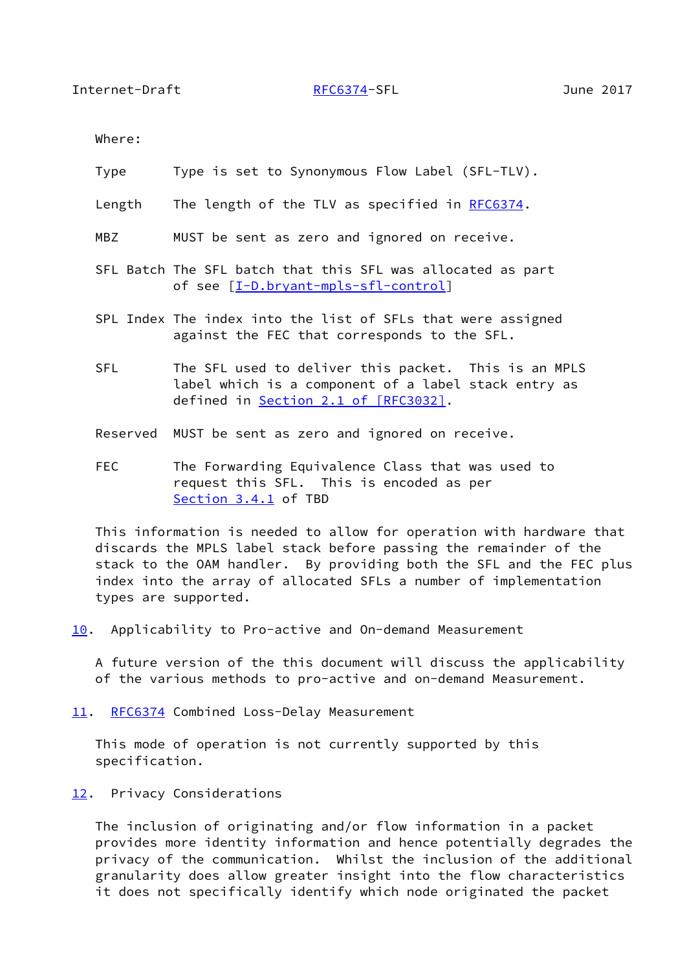<span id="page-17-1"></span>Where:

- Type Type is set to Synonymous Flow Label (SFL-TLV).
- Length The length of the TLV as specified in [RFC6374](https://datatracker.ietf.org/doc/pdf/rfc6374).
- MBZ MUST be sent as zero and ignored on receive.
- SFL Batch The SFL batch that this SFL was allocated as part of see [\[I-D.bryant-mpls-sfl-control](#page-19-4)]
- SPL Index The index into the list of SFLs that were assigned against the FEC that corresponds to the SFL.
- SFL The SFL used to deliver this packet. This is an MPLS label which is a component of a label stack entry as defined in Section [2.1 of \[RFC3032\]](https://datatracker.ietf.org/doc/pdf/rfc3032#section-2.1).
- Reserved MUST be sent as zero and ignored on receive.
- FEC The Forwarding Equivalence Class that was used to request this SFL. This is encoded as per Section 3.4.1 of TBD

 This information is needed to allow for operation with hardware that discards the MPLS label stack before passing the remainder of the stack to the OAM handler. By providing both the SFL and the FEC plus index into the array of allocated SFLs a number of implementation types are supported.

<span id="page-17-0"></span>[10.](#page-17-0) Applicability to Pro-active and On-demand Measurement

 A future version of the this document will discuss the applicability of the various methods to pro-active and on-demand Measurement.

<span id="page-17-2"></span>[11.](#page-17-2) [RFC6374](https://datatracker.ietf.org/doc/pdf/rfc6374) Combined Loss-Delay Measurement

 This mode of operation is not currently supported by this specification.

<span id="page-17-3"></span>[12.](#page-17-3) Privacy Considerations

 The inclusion of originating and/or flow information in a packet provides more identity information and hence potentially degrades the privacy of the communication. Whilst the inclusion of the additional granularity does allow greater insight into the flow characteristics it does not specifically identify which node originated the packet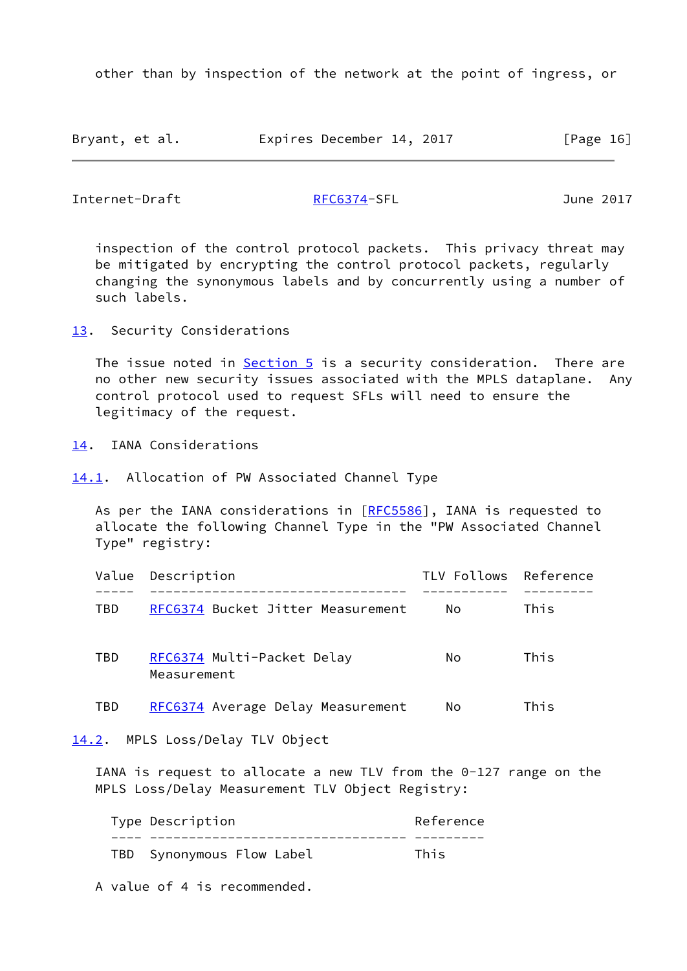other than by inspection of the network at the point of ingress, or

| Bryant, et al. | Expires December 14, 2017 |  | [Page 16] |
|----------------|---------------------------|--|-----------|
|----------------|---------------------------|--|-----------|

<span id="page-18-1"></span>Internet-Draft [RFC6374-](https://datatracker.ietf.org/doc/pdf/rfc6374)SFL June 2017

 inspection of the control protocol packets. This privacy threat may be mitigated by encrypting the control protocol packets, regularly changing the synonymous labels and by concurrently using a number of such labels.

<span id="page-18-0"></span>[13.](#page-18-0) Security Considerations

The issue noted in  $Section 5$  is a security consideration. There are no other new security issues associated with the MPLS dataplane. Any control protocol used to request SFLs will need to ensure the legitimacy of the request.

<span id="page-18-2"></span>[14.](#page-18-2) IANA Considerations

<span id="page-18-3"></span>[14.1](#page-18-3). Allocation of PW Associated Channel Type

As per the IANA considerations in [[RFC5586](https://datatracker.ietf.org/doc/pdf/rfc5586)], IANA is requested to allocate the following Channel Type in the "PW Associated Channel Type" registry:

|     | Value Description                         | TLV Follows Reference |      |
|-----|-------------------------------------------|-----------------------|------|
| TBD | RFC6374 Bucket Jitter Measurement         | No.                   | This |
| TBD | RFC6374 Multi-Packet Delay<br>Measurement | No.                   | This |
| TBD | RFC6374 Average Delay Measurement         | No                    | This |

<span id="page-18-4"></span>[14.2](#page-18-4). MPLS Loss/Delay TLV Object

 IANA is request to allocate a new TLV from the 0-127 range on the MPLS Loss/Delay Measurement TLV Object Registry:

|  | Type Description          | Reference |
|--|---------------------------|-----------|
|  |                           |           |
|  | TBD Synonymous Flow Label | This      |

A value of 4 is recommended.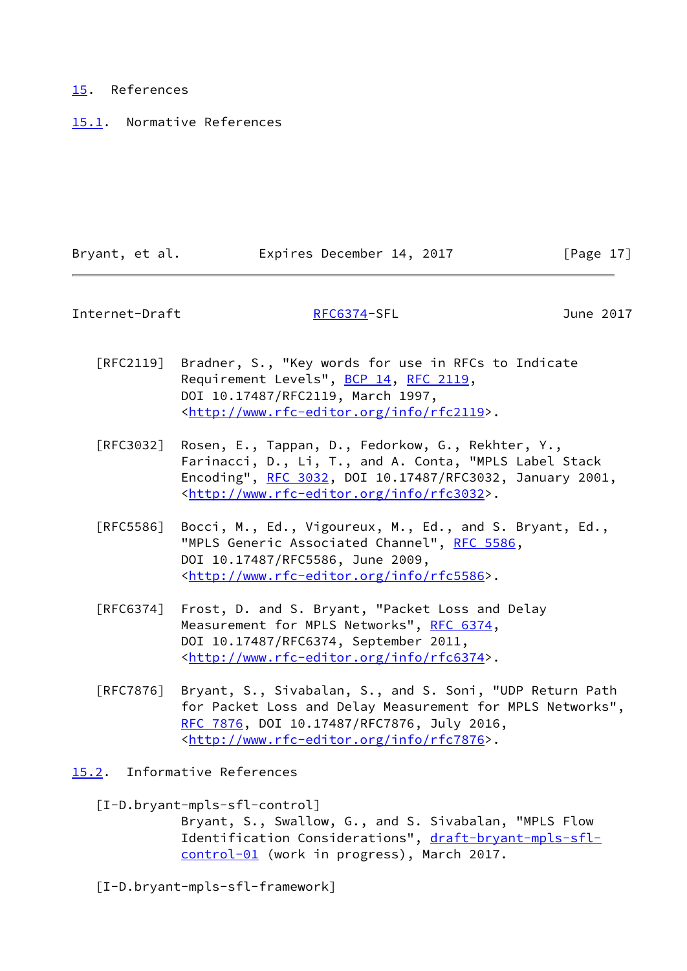### <span id="page-19-0"></span>[15.](#page-19-0) References

<span id="page-19-1"></span>[15.1](#page-19-1). Normative References

| Bryant, et al. | Expires December 14, 2017 | [Page 17] |
|----------------|---------------------------|-----------|

<span id="page-19-3"></span>Internet-Draft [RFC6374-](https://datatracker.ietf.org/doc/pdf/rfc6374)SFL June 2017

- [RFC2119] Bradner, S., "Key words for use in RFCs to Indicate Requirement Levels", [BCP 14](https://datatracker.ietf.org/doc/pdf/bcp14), [RFC 2119](https://datatracker.ietf.org/doc/pdf/rfc2119), DOI 10.17487/RFC2119, March 1997, <<http://www.rfc-editor.org/info/rfc2119>>.
- [RFC3032] Rosen, E., Tappan, D., Fedorkow, G., Rekhter, Y., Farinacci, D., Li, T., and A. Conta, "MPLS Label Stack Encoding", [RFC 3032](https://datatracker.ietf.org/doc/pdf/rfc3032), DOI 10.17487/RFC3032, January 2001, <<http://www.rfc-editor.org/info/rfc3032>>.
- [RFC5586] Bocci, M., Ed., Vigoureux, M., Ed., and S. Bryant, Ed., "MPLS Generic Associated Channel", [RFC 5586](https://datatracker.ietf.org/doc/pdf/rfc5586), DOI 10.17487/RFC5586, June 2009, <<http://www.rfc-editor.org/info/rfc5586>>.
- [RFC6374] Frost, D. and S. Bryant, "Packet Loss and Delay Measurement for MPLS Networks", [RFC 6374,](https://datatracker.ietf.org/doc/pdf/rfc6374) DOI 10.17487/RFC6374, September 2011, <<http://www.rfc-editor.org/info/rfc6374>>.
- [RFC7876] Bryant, S., Sivabalan, S., and S. Soni, "UDP Return Path for Packet Loss and Delay Measurement for MPLS Networks", [RFC 7876,](https://datatracker.ietf.org/doc/pdf/rfc7876) DOI 10.17487/RFC7876, July 2016, <<http://www.rfc-editor.org/info/rfc7876>>.
- <span id="page-19-4"></span><span id="page-19-2"></span>[15.2](#page-19-2). Informative References
	- [I-D.bryant-mpls-sfl-control]

 Bryant, S., Swallow, G., and S. Sivabalan, "MPLS Flow Identification Considerations", [draft-bryant-mpls-sfl](https://datatracker.ietf.org/doc/pdf/draft-bryant-mpls-sfl-control-01) [control-01](https://datatracker.ietf.org/doc/pdf/draft-bryant-mpls-sfl-control-01) (work in progress), March 2017.

[I-D.bryant-mpls-sfl-framework]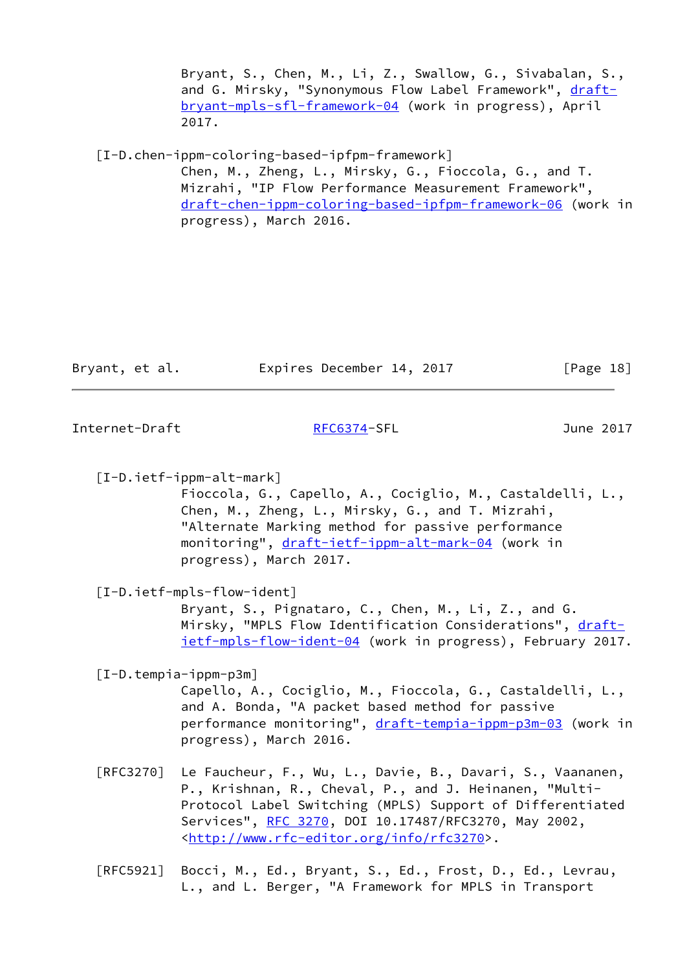Bryant, S., Chen, M., Li, Z., Swallow, G., Sivabalan, S., and G. Mirsky, "Synonymous Flow Label Framework", [draft](https://datatracker.ietf.org/doc/pdf/draft-bryant-mpls-sfl-framework-04) [bryant-mpls-sfl-framework-04](https://datatracker.ietf.org/doc/pdf/draft-bryant-mpls-sfl-framework-04) (work in progress), April 2017.

<span id="page-20-2"></span>[I-D.chen-ippm-coloring-based-ipfpm-framework]

 Chen, M., Zheng, L., Mirsky, G., Fioccola, G., and T. Mizrahi, "IP Flow Performance Measurement Framework", [draft-chen-ippm-coloring-based-ipfpm-framework-06](https://datatracker.ietf.org/doc/pdf/draft-chen-ippm-coloring-based-ipfpm-framework-06) (work in progress), March 2016.

| Bryant, et al. | Expires December 14, 2017 | [Page 18] |
|----------------|---------------------------|-----------|
|                |                           |           |

<span id="page-20-0"></span>Internet-Draft [RFC6374-](https://datatracker.ietf.org/doc/pdf/rfc6374)SFL June 2017

<span id="page-20-3"></span> [I-D.ietf-ippm-alt-mark] Fioccola, G., Capello, A., Cociglio, M., Castaldelli, L., Chen, M., Zheng, L., Mirsky, G., and T. Mizrahi, "Alternate Marking method for passive performance monitoring", [draft-ietf-ippm-alt-mark-04](https://datatracker.ietf.org/doc/pdf/draft-ietf-ippm-alt-mark-04) (work in progress), March 2017.

[I-D.ietf-mpls-flow-ident]

 Bryant, S., Pignataro, C., Chen, M., Li, Z., and G. Mirsky, "MPLS Flow Identification Considerations", [draft](https://datatracker.ietf.org/doc/pdf/draft-ietf-mpls-flow-ident-04) [ietf-mpls-flow-ident-04](https://datatracker.ietf.org/doc/pdf/draft-ietf-mpls-flow-ident-04) (work in progress), February 2017.

<span id="page-20-1"></span>[I-D.tempia-ippm-p3m]

 Capello, A., Cociglio, M., Fioccola, G., Castaldelli, L., and A. Bonda, "A packet based method for passive performance monitoring", [draft-tempia-ippm-p3m-03](https://datatracker.ietf.org/doc/pdf/draft-tempia-ippm-p3m-03) (work in progress), March 2016.

- [RFC3270] Le Faucheur, F., Wu, L., Davie, B., Davari, S., Vaananen, P., Krishnan, R., Cheval, P., and J. Heinanen, "Multi- Protocol Label Switching (MPLS) Support of Differentiated Services", [RFC 3270](https://datatracker.ietf.org/doc/pdf/rfc3270), DOI 10.17487/RFC3270, May 2002, <<http://www.rfc-editor.org/info/rfc3270>>.
- [RFC5921] Bocci, M., Ed., Bryant, S., Ed., Frost, D., Ed., Levrau, L., and L. Berger, "A Framework for MPLS in Transport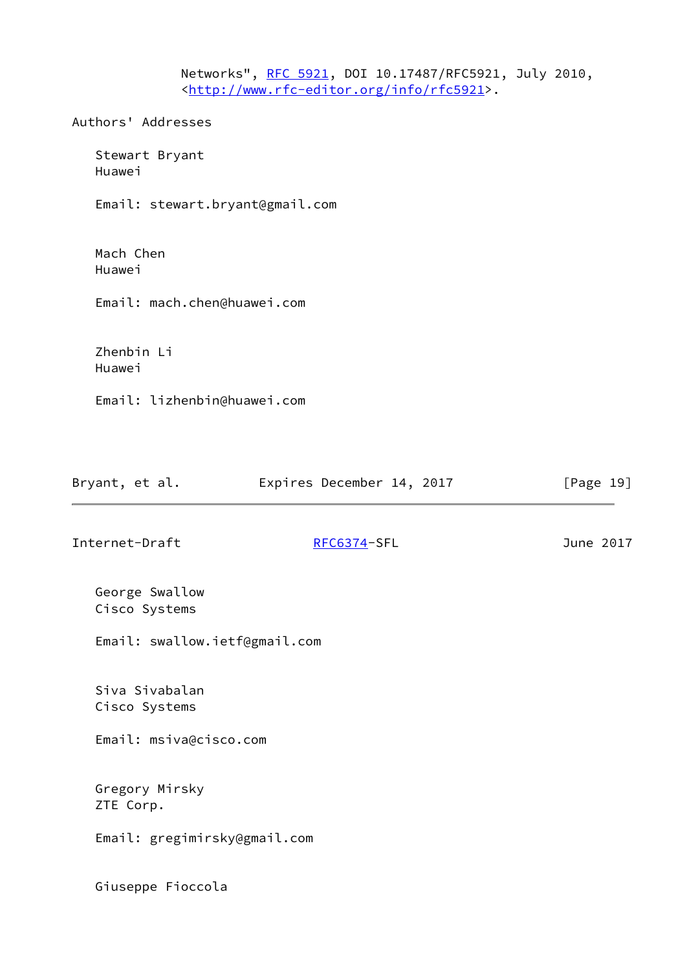Networks", [RFC 5921](https://datatracker.ietf.org/doc/pdf/rfc5921), DOI 10.17487/RFC5921, July 2010, <<http://www.rfc-editor.org/info/rfc5921>>.

Authors' Addresses

 Stewart Bryant Huawei

Email: stewart.bryant@gmail.com

 Mach Chen Huawei

Email: mach.chen@huawei.com

 Zhenbin Li Huawei

Email: lizhenbin@huawei.com

| Bryant, et al. | Expires December 14, 2017 |  | [Page 19] |
|----------------|---------------------------|--|-----------|
|----------------|---------------------------|--|-----------|

Internet-Draft [RFC6374-](https://datatracker.ietf.org/doc/pdf/rfc6374)SFL June 2017

 George Swallow Cisco Systems

Email: swallow.ietf@gmail.com

 Siva Sivabalan Cisco Systems

Email: msiva@cisco.com

 Gregory Mirsky ZTE Corp.

Email: gregimirsky@gmail.com

Giuseppe Fioccola